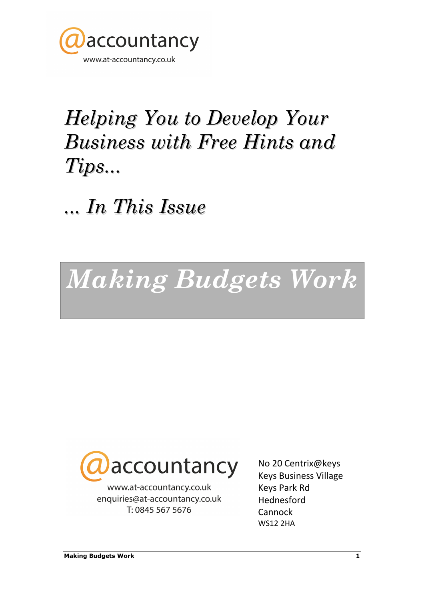

### Helping You to Develop Your Business with Free Hints and Tips...

... In This Issue

## Making Budgets Work



www.at-accountancy.co.uk enquiries@at-accountancy.co.uk T: 0845 567 5676

No 20 Centrix@keys Keys Business Village Keys Park Rd Hednesford **Cannock** WS12 2HA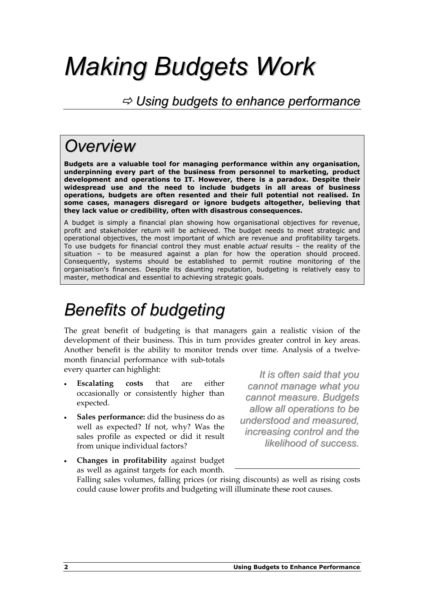# Making Budgets Work

### $\Rightarrow$  Using budgets to enhance performance

### **Overview**

Budgets are a valuable tool for managing performance within any organisation, underpinning every part of the business from personnel to marketing, product development and operations to IT. However, there is a paradox. Despite their widespread use and the need to include budgets in all areas of business operations, budgets are often resented and their full potential not realised. In some cases, managers disregard or ignore budgets altogether, believing that they lack value or credibility, often with disastrous consequences.

A budget is simply a financial plan showing how organisational objectives for revenue, profit and stakeholder return will be achieved. The budget needs to meet strategic and operational objectives, the most important of which are revenue and profitability targets. To use budgets for financial control they must enable *actual* results - the reality of the situation – to be measured against a plan for how the operation should proceed. Consequently, systems should be established to permit routine monitoring of the organisation's finances. Despite its daunting reputation, budgeting is relatively easy to master, methodical and essential to achieving strategic goals.

### Benefits of budgeting

The great benefit of budgeting is that managers gain a realistic vision of the development of their business. This in turn provides greater control in key areas. Another benefit is the ability to monitor trends over time. Analysis of a twelvemonth financial performance with sub-totals

every quarter can highlight:

- **Escalating costs that are either** occasionally or consistently higher than expected.
- Sales performance: did the business do as well as expected? If not, why? Was the sales profile as expected or did it result from unique individual factors?

It is often said that you cannot manage what you cannot measure. Budgets allow all operations to be understood and measured, increasing control and the likelihood of success.

• Changes in profitability against budget as well as against targets for each month.

Falling sales volumes, falling prices (or rising discounts) as well as rising costs could cause lower profits and budgeting will illuminate these root causes.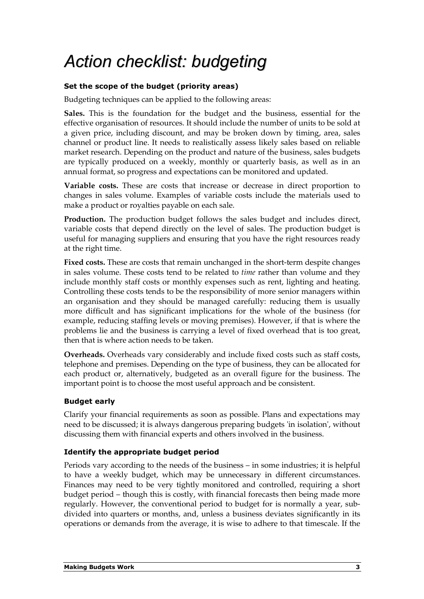### Action checklist: budgeting

### Set the scope of the budget (priority areas)

Budgeting techniques can be applied to the following areas:

Sales. This is the foundation for the budget and the business, essential for the effective organisation of resources. It should include the number of units to be sold at a given price, including discount, and may be broken down by timing, area, sales channel or product line. It needs to realistically assess likely sales based on reliable market research. Depending on the product and nature of the business, sales budgets are typically produced on a weekly, monthly or quarterly basis, as well as in an annual format, so progress and expectations can be monitored and updated.

Variable costs. These are costs that increase or decrease in direct proportion to changes in sales volume. Examples of variable costs include the materials used to make a product or royalties payable on each sale.

Production. The production budget follows the sales budget and includes direct, variable costs that depend directly on the level of sales. The production budget is useful for managing suppliers and ensuring that you have the right resources ready at the right time.

Fixed costs. These are costs that remain unchanged in the short-term despite changes in sales volume. These costs tend to be related to *time* rather than volume and they include monthly staff costs or monthly expenses such as rent, lighting and heating. Controlling these costs tends to be the responsibility of more senior managers within an organisation and they should be managed carefully: reducing them is usually more difficult and has significant implications for the whole of the business (for example, reducing staffing levels or moving premises). However, if that is where the problems lie and the business is carrying a level of fixed overhead that is too great, then that is where action needs to be taken.

Overheads. Overheads vary considerably and include fixed costs such as staff costs, telephone and premises. Depending on the type of business, they can be allocated for each product or, alternatively, budgeted as an overall figure for the business. The important point is to choose the most useful approach and be consistent.

### Budget early

Clarify your financial requirements as soon as possible. Plans and expectations may need to be discussed; it is always dangerous preparing budgets 'in isolation', without discussing them with financial experts and others involved in the business.

### Identify the appropriate budget period

Periods vary according to the needs of the business – in some industries; it is helpful to have a weekly budget, which may be unnecessary in different circumstances. Finances may need to be very tightly monitored and controlled, requiring a short budget period – though this is costly, with financial forecasts then being made more regularly. However, the conventional period to budget for is normally a year, subdivided into quarters or months, and, unless a business deviates significantly in its operations or demands from the average, it is wise to adhere to that timescale. If the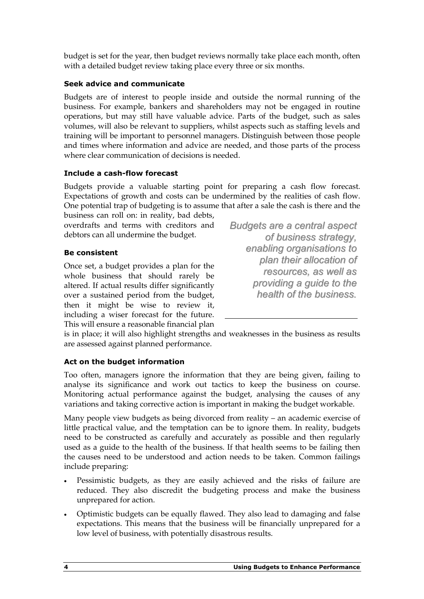budget is set for the year, then budget reviews normally take place each month, often with a detailed budget review taking place every three or six months.

### Seek advice and communicate

Budgets are of interest to people inside and outside the normal running of the business. For example, bankers and shareholders may not be engaged in routine operations, but may still have valuable advice. Parts of the budget, such as sales volumes, will also be relevant to suppliers, whilst aspects such as staffing levels and training will be important to personnel managers. Distinguish between those people and times where information and advice are needed, and those parts of the process where clear communication of decisions is needed.

#### Include a cash-flow forecast

Budgets provide a valuable starting point for preparing a cash flow forecast. Expectations of growth and costs can be undermined by the realities of cash flow. One potential trap of budgeting is to assume that after a sale the cash is there and the

business can roll on: in reality, bad debts, overdrafts and terms with creditors and debtors can all undermine the budget.

#### Be consistent

Once set, a budget provides a plan for the whole business that should rarely be altered. If actual results differ significantly over a sustained period from the budget, then it might be wise to review it, including a wiser forecast for the future. This will ensure a reasonable financial plan

Budgets are a central aspect of business strategy, enabling organisations to plan their allocation of resources, as well as providing a guide to the health of the business.

is in place; it will also highlight strengths and weaknesses in the business as results are assessed against planned performance.

### Act on the budget information

Too often, managers ignore the information that they are being given, failing to analyse its significance and work out tactics to keep the business on course. Monitoring actual performance against the budget, analysing the causes of any variations and taking corrective action is important in making the budget workable.

Many people view budgets as being divorced from reality – an academic exercise of little practical value, and the temptation can be to ignore them. In reality, budgets need to be constructed as carefully and accurately as possible and then regularly used as a guide to the health of the business. If that health seems to be failing then the causes need to be understood and action needs to be taken. Common failings include preparing:

- Pessimistic budgets, as they are easily achieved and the risks of failure are reduced. They also discredit the budgeting process and make the business unprepared for action.
- Optimistic budgets can be equally flawed. They also lead to damaging and false expectations. This means that the business will be financially unprepared for a low level of business, with potentially disastrous results.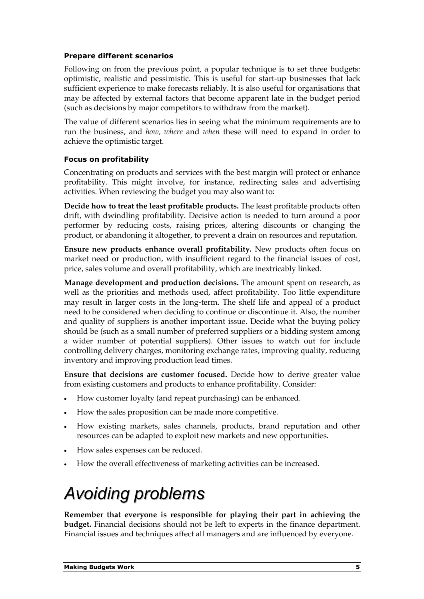#### Prepare different scenarios

Following on from the previous point, a popular technique is to set three budgets: optimistic, realistic and pessimistic. This is useful for start-up businesses that lack sufficient experience to make forecasts reliably. It is also useful for organisations that may be affected by external factors that become apparent late in the budget period (such as decisions by major competitors to withdraw from the market).

The value of different scenarios lies in seeing what the minimum requirements are to run the business, and how, where and when these will need to expand in order to achieve the optimistic target.

#### Focus on profitability

Concentrating on products and services with the best margin will protect or enhance profitability. This might involve, for instance, redirecting sales and advertising activities. When reviewing the budget you may also want to:

Decide how to treat the least profitable products. The least profitable products often drift, with dwindling profitability. Decisive action is needed to turn around a poor performer by reducing costs, raising prices, altering discounts or changing the product, or abandoning it altogether, to prevent a drain on resources and reputation.

Ensure new products enhance overall profitability. New products often focus on market need or production, with insufficient regard to the financial issues of cost, price, sales volume and overall profitability, which are inextricably linked.

Manage development and production decisions. The amount spent on research, as well as the priorities and methods used, affect profitability. Too little expenditure may result in larger costs in the long-term. The shelf life and appeal of a product need to be considered when deciding to continue or discontinue it. Also, the number and quality of suppliers is another important issue. Decide what the buying policy should be (such as a small number of preferred suppliers or a bidding system among a wider number of potential suppliers). Other issues to watch out for include controlling delivery charges, monitoring exchange rates, improving quality, reducing inventory and improving production lead times.

Ensure that decisions are customer focused. Decide how to derive greater value from existing customers and products to enhance profitability. Consider:

- How customer loyalty (and repeat purchasing) can be enhanced.
- How the sales proposition can be made more competitive.
- How existing markets, sales channels, products, brand reputation and other resources can be adapted to exploit new markets and new opportunities.
- How sales expenses can be reduced.
- How the overall effectiveness of marketing activities can be increased.

### Avoiding problems

Remember that everyone is responsible for playing their part in achieving the budget. Financial decisions should not be left to experts in the finance department. Financial issues and techniques affect all managers and are influenced by everyone.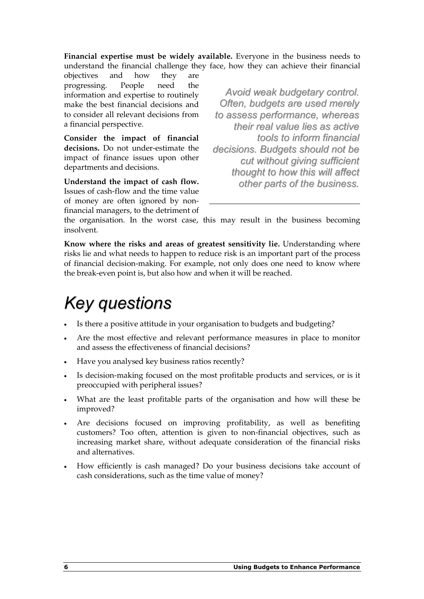Financial expertise must be widely available. Everyone in the business needs to understand the financial challenge they face, how they can achieve their financial

objectives and how they are progressing. People need the information and expertise to routinely make the best financial decisions and to consider all relevant decisions from a financial perspective.

Consider the impact of financial decisions. Do not under-estimate the impact of finance issues upon other departments and decisions.

Understand the impact of cash flow. Issues of cash-flow and the time value of money are often ignored by nonfinancial managers, to the detriment of

Avoid weak budgetary control. Often, budgets are used merely to assess performance, whereas their real value lies as active tools to inform financial decisions. Budgets should not be cut without giving sufficient thought to how this will affect other parts of the business.

the organisation. In the worst case, this may result in the business becoming insolvent.

Know where the risks and areas of greatest sensitivity lie. Understanding where risks lie and what needs to happen to reduce risk is an important part of the process of financial decision-making. For example, not only does one need to know where the break-even point is, but also how and when it will be reached.

### Key questions

- Is there a positive attitude in your organisation to budgets and budgeting?
- Are the most effective and relevant performance measures in place to monitor and assess the effectiveness of financial decisions?
- Have you analysed key business ratios recently?
- Is decision-making focused on the most profitable products and services, or is it preoccupied with peripheral issues?
- What are the least profitable parts of the organisation and how will these be improved?
- Are decisions focused on improving profitability, as well as benefiting customers? Too often, attention is given to non-financial objectives, such as increasing market share, without adequate consideration of the financial risks and alternatives.
- How efficiently is cash managed? Do your business decisions take account of cash considerations, such as the time value of money?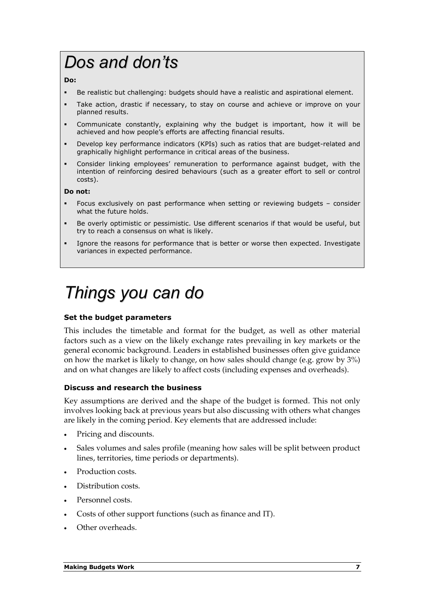### Dos and don'ts

#### Do:

- -Be realistic but challenging: budgets should have a realistic and aspirational element.
- - Take action, drastic if necessary, to stay on course and achieve or improve on your planned results.
- - Communicate constantly, explaining why the budget is important, how it will be achieved and how people's efforts are affecting financial results.
- - Develop key performance indicators (KPIs) such as ratios that are budget-related and graphically highlight performance in critical areas of the business.
- - Consider linking employees' remuneration to performance against budget, with the intention of reinforcing desired behaviours (such as a greater effort to sell or control costs).

#### Do not:

- - Focus exclusively on past performance when setting or reviewing budgets – consider what the future holds.
- - Be overly optimistic or pessimistic. Use different scenarios if that would be useful, but try to reach a consensus on what is likely.
- - Ignore the reasons for performance that is better or worse then expected. Investigate variances in expected performance.

### Things you can do

#### Set the budget parameters

This includes the timetable and format for the budget, as well as other material factors such as a view on the likely exchange rates prevailing in key markets or the general economic background. Leaders in established businesses often give guidance on how the market is likely to change, on how sales should change (e.g. grow by 3%) and on what changes are likely to affect costs (including expenses and overheads).

#### Discuss and research the business

Key assumptions are derived and the shape of the budget is formed. This not only involves looking back at previous years but also discussing with others what changes are likely in the coming period. Key elements that are addressed include:

- Pricing and discounts.
- Sales volumes and sales profile (meaning how sales will be split between product lines, territories, time periods or departments).
- Production costs.
- Distribution costs.
- Personnel costs.
- Costs of other support functions (such as finance and IT).
- Other overheads.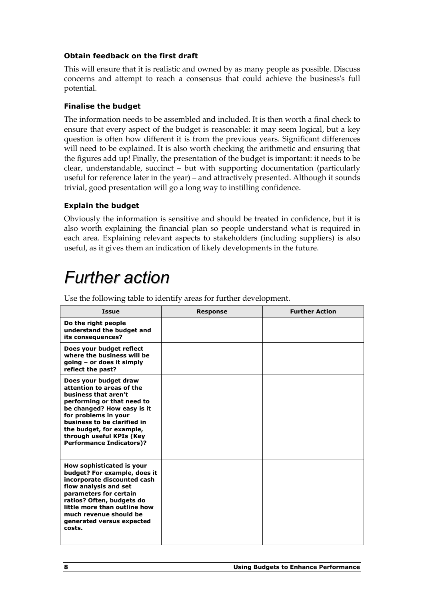#### Obtain feedback on the first draft

This will ensure that it is realistic and owned by as many people as possible. Discuss concerns and attempt to reach a consensus that could achieve the business's full potential.

### Finalise the budget

The information needs to be assembled and included. It is then worth a final check to ensure that every aspect of the budget is reasonable: it may seem logical, but a key question is often how different it is from the previous years. Significant differences will need to be explained. It is also worth checking the arithmetic and ensuring that the figures add up! Finally, the presentation of the budget is important: it needs to be clear, understandable, succinct – but with supporting documentation (particularly useful for reference later in the year) – and attractively presented. Although it sounds trivial, good presentation will go a long way to instilling confidence.

### Explain the budget

Obviously the information is sensitive and should be treated in confidence, but it is also worth explaining the financial plan so people understand what is required in each area. Explaining relevant aspects to stakeholders (including suppliers) is also useful, as it gives them an indication of likely developments in the future.

### Further action

| Issue                                                                                                                                                                                                                                                                                    | <b>Response</b> | <b>Further Action</b> |
|------------------------------------------------------------------------------------------------------------------------------------------------------------------------------------------------------------------------------------------------------------------------------------------|-----------------|-----------------------|
| Do the right people<br>understand the budget and<br>its consequences?                                                                                                                                                                                                                    |                 |                       |
| Does your budget reflect<br>where the business will be<br>$qoinq - or does it simply$<br>reflect the past?                                                                                                                                                                               |                 |                       |
| Does your budget draw<br>attention to areas of the<br>business that aren't<br>performing or that need to<br>be changed? How easy is it<br>for problems in your<br>business to be clarified in<br>the budget, for example,<br>through useful KPIs (Key<br><b>Performance Indicators)?</b> |                 |                       |
| How sophisticated is your<br>budget? For example, does it<br>incorporate discounted cash<br>flow analysis and set<br>parameters for certain<br>ratios? Often, budgets do<br>little more than outline how<br>much revenue should be<br>generated versus expected<br>costs.                |                 |                       |

Use the following table to identify areas for further development.